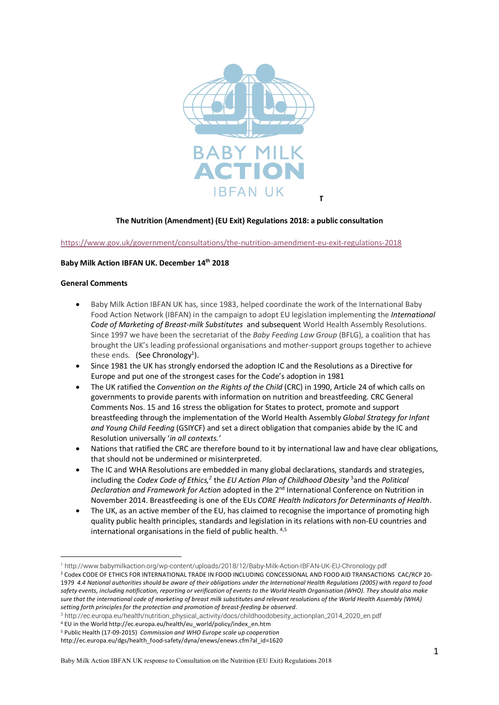

### **The Nutrition (Amendment) (EU Exit) Regulations 2018: a public consultation**

https://www.gov.uk/government/consultations/the-nutrition-amendment-eu-exit-regulations-2018

#### **Baby Milk Action IBFAN UK. December 14th 2018**

#### **General Comments**

 $\overline{a}$ 

- Baby Milk Action IBFAN UK has, since 1983, helped coordinate the work of the International Baby Food Action Network (IBFAN) in the campaign to adopt EU legislation implementing the *International Code of Marketing of Breast-milk Substitutes* and subsequent World Health Assembly Resolutions. Since 1997 we have been the secretariat of the *Baby Feeding Law Group* (BFLG), a coalition that has brought the UK's leading professional organisations and mother-support groups together to achieve these ends. (See Chronology<sup>1</sup>).
- Since 1981 the UK has strongly endorsed the adoption IC and the Resolutions as a Directive for Europe and put one of the strongest cases for the Code's adoption in 1981
- The UK ratified the *Convention on the Rights of the Child* (CRC) in 1990, Article 24 of which calls on governments to provide parents with information on nutrition and breastfeeding. CRC General Comments Nos. 15 and 16 stress the obligation for States to protect, promote and support breastfeeding through the implementation of the World Health Assembly *Global Strategy for Infant and Young Child Feeding* (GSIYCF) and set a direct obligation that companies abide by the IC and Resolution universally '*in all contexts.'*
- Nations that ratified the CRC are therefore bound to it by international law and have clear obligations, that should not be undermined or misinterpreted.
- The IC and WHA Resolutions are embedded in many global declarations, standards and strategies, including the *Codex Code of Ethics,2* the *EU Action Plan of Childhood Obesity* <sup>3</sup> and the *Political Declaration and Framework for Action* adopted in the 2nd International Conference on Nutrition in November 2014. Breastfeeding is one of the EUs *CORE Health Indicators for Determinants of Health*.
- The UK, as an active member of the EU, has claimed to recognise the importance of promoting high quality public health principles, standards and legislation in its relations with non-EU countries and international organisations in the field of public health. 4,5

<sup>1</sup> http://www.babymilkaction.org/wp-content/uploads/2018/12/Baby-Milk-Action-IBFAN-UK-EU-Chronology.pdf

<sup>&</sup>lt;sup>2</sup> Codex CODE OF ETHICS FOR INTERNATIONAL TRADE IN FOOD INCLUDING CONCESSIONAL AND FOOD AID TRANSACTIONS CAC/RCP 20-1979 4.4 National authorities should be aware of their obligations under the International Health Reaulations (2005) with regard to food safety events, including notification, reporting or verification of events to the World Health Organisation (WHO). They should also make sure that the international code of marketing of breast milk substitutes and relevant resolutions of the World Health Assembly (WHA) *setting forth principles for the protection and promotion of breast-feeding be observed*.

<sup>3</sup> http://ec.europa.eu/health/nutrition\_physical\_activity/docs/childhoodobesity\_actionplan\_2014\_2020\_en.pdf

<sup>4</sup> EU in the World http://ec.europa.eu/health/eu\_world/policy/index\_en.htm

<sup>5</sup> Public Health (17-09-2015) *Commission and WHO Europe scale up cooperation* 

http://ec.europa.eu/dgs/health\_food-safety/dyna/enews/enews.cfm?al\_id=1620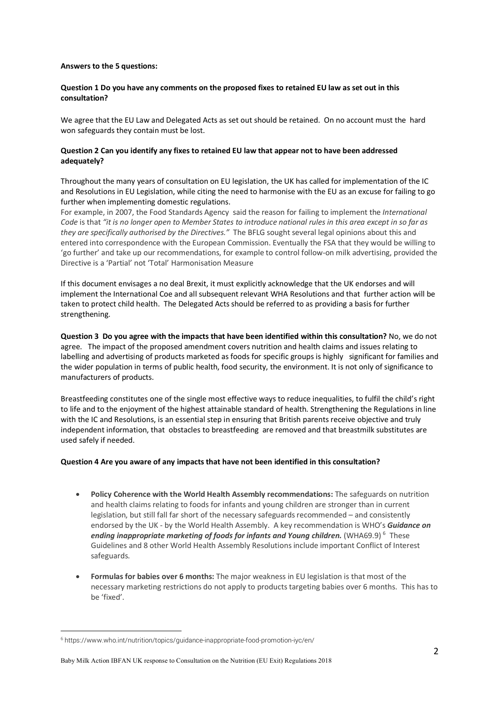#### **Answers to the 5 questions:**

## **Question 1 Do you have any comments on the proposed fixes to retained EU law as set out in this consultation?**

We agree that the EU Law and Delegated Acts as set out should be retained. On no account must the hard won safeguards they contain must be lost.

## **Question 2 Can you identify any fixes to retained EU law that appear not to have been addressed adequately?**

Throughout the many years of consultation on EU legislation, the UK has called for implementation of the IC and Resolutions in EU Legislation, while citing the need to harmonise with the EU as an excuse for failing to go further when implementing domestic regulations.

For example, in 2007, the Food Standards Agency said the reason for failing to implement the *International Code* is that *"it is no longer open to Member States to introduce national rules in this area except in so far as they are specifically authorised by the Directives."* The BFLG sought several legal opinions about this and entered into correspondence with the European Commission. Eventually the FSA that they would be willing to 'go further' and take up our recommendations, for example to control follow-on milk advertising, provided the Directive is a 'Partial' not 'Total' Harmonisation Measure

If this document envisages a no deal Brexit, it must explicitly acknowledge that the UK endorses and will implement the International Coe and all subsequent relevant WHA Resolutions and that further action will be taken to protect child health. The Delegated Acts should be referred to as providing a basis for further strengthening.

**Question 3 Do you agree with the impacts that have been identified within this consultation?** No, we do not agree. The impact of the proposed amendment covers nutrition and health claims and issues relating to labelling and advertising of products marketed as foods for specific groups is highly significant for families and the wider population in terms of public health, food security, the environment. It is not only of significance to manufacturers of products.

Breastfeeding constitutes one of the single most effective ways to reduce inequalities, to fulfil the child's right to life and to the enjoyment of the highest attainable standard of health. Strengthening the Regulations in line with the IC and Resolutions, is an essential step in ensuring that British parents receive objective and truly independent information, that obstacles to breastfeeding are removed and that breastmilk substitutes are used safely if needed.

### **Question 4 Are you aware of any impacts that have not been identified in this consultation?**

- **Policy Coherence with the World Health Assembly recommendations:** The safeguards on nutrition and health claims relating to foods for infants and young children are stronger than in current legislation, but still fall far short of the necessary safeguards recommended – and consistently endorsed by the UK - by the World Health Assembly. A key recommendation is WHO's *Guidance on*  ending inappropriate marketing of foods for infants and Young children. (WHA69.9)  $^6$  These Guidelines and 8 other World Health Assembly Resolutions include important Conflict of Interest safeguards.
- **Formulas for babies over 6 months:** The major weakness in EU legislation is that most of the necessary marketing restrictions do not apply to products targeting babies over 6 months. This has to be 'fixed'.

 $\overline{a}$ 

<sup>6</sup> https://www.who.int/nutrition/topics/guidance-inappropriate-food-promotion-iyc/en/